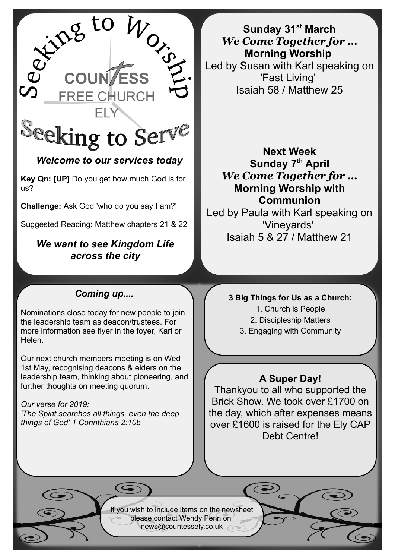

# *Welcome to our services today*

**Key Qn: [UP]** Do you get how much God is for us?

**Challenge:** Ask God 'who do you say I am?'

Suggested Reading: Matthew chapters 21 & 22

## *We want to see Kingdom Life across the city*

# *Coming up....*

Nominations close today for new people to join the leadership team as deacon/trustees. For more information see flyer in the foyer, Karl or Helen.

Our next church members meeting is on Wed 1st May, recognising deacons & elders on the leadership team, thinking about pioneering, and further thoughts on meeting quorum.

*Our verse for 2019: 'The Spirit searches all things, even the deep things of God' 1 Corinthians 2:10b*

**Sunday 31st March** *We Come Together for …* **Morning Worship**  Led by Susan with Karl speaking on 'Fast Living' Isaiah 58 / Matthew 25

# **Next Week Sunday 7th April** *We Come Together for …* **Morning Worship with Communion**

Led by Paula with Karl speaking on 'Vineyards' Isaiah 5 & 27 / Matthew 21

#### **3 Big Things for Us as a Church:**

1. Church is People

2. Discipleship Matters

3. Engaging with Community

### **A Super Day!**

Thankyou to all who supported the Brick Show. We took over £1700 on the day, which after expenses means over £1600 is raised for the Ely CAP Debt Centre!

If you wish to include items on the newsheet please contact Wendy Penn on [news@countessely.co.uk](mailto:news@countessely.co.uk)